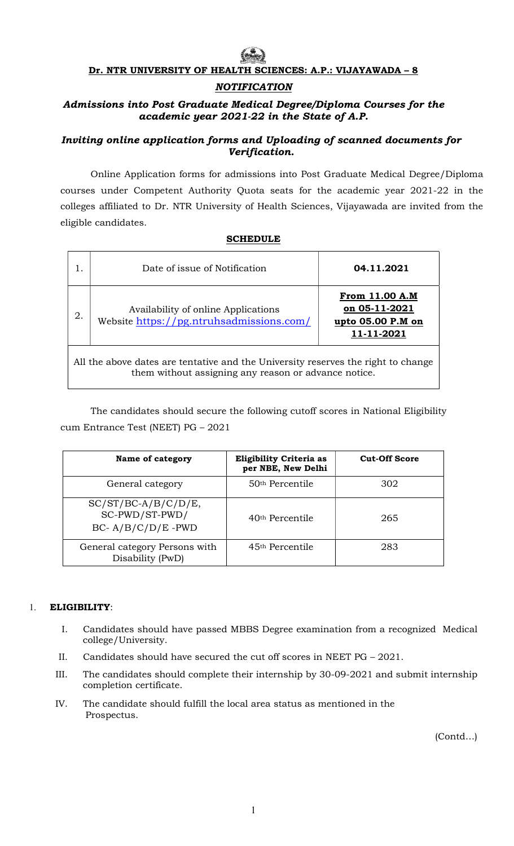Dr. NTR UNIVERSITY OF HEALTH SCIENCES: A.P.: VIJAYAWADA – 8

# **NOTIFICATION**

# Admissions into Post Graduate Medical Degree/Diploma Courses for the academic year 2021-22 in the State of A.P.

# Inviting online application forms and Uploading of scanned documents for Verification.

Online Application forms for admissions into Post Graduate Medical Degree/Diploma courses under Competent Authority Quota seats for the academic year 2021-22 in the colleges affiliated to Dr. NTR University of Health Sciences, Vijayawada are invited from the eligible candidates.

## SCHEDULE

|                                                                                                                                           | Date of issue of Notification                                                   | 04.11.2021                                                                |  |  |
|-------------------------------------------------------------------------------------------------------------------------------------------|---------------------------------------------------------------------------------|---------------------------------------------------------------------------|--|--|
| 2.                                                                                                                                        | Availability of online Applications<br>Website https://pg.ntruhsadmissions.com/ | <b>From 11.00 A.M</b><br>on 05-11-2021<br>upto 05.00 P.M on<br>11-11-2021 |  |  |
| All the above dates are tentative and the University reserves the right to change<br>them without assigning any reason or advance notice. |                                                                                 |                                                                           |  |  |

The candidates should secure the following cutoff scores in National Eligibility cum Entrance Test (NEET) PG – 2021

| Name of category                                                  | <b>Eligibility Criteria as</b><br>per NBE, New Delhi | <b>Cut-Off Score</b> |
|-------------------------------------------------------------------|------------------------------------------------------|----------------------|
| General category                                                  | 50 <sup>th</sup> Percentile                          | 302                  |
| $SC/ST/BC-A/B/C/D/E,$<br>SC-PWD/ST-PWD/<br>$BC - A/B/C/D/E - PWD$ | 40 <sup>th</sup> Percentile                          | 265                  |
| General category Persons with<br>Disability (PwD)                 | 45 <sup>th</sup> Percentile                          | 283                  |

# 1. ELIGIBILITY:

- I. Candidates should have passed MBBS Degree examination from a recognized Medical college/University.
- II. Candidates should have secured the cut off scores in NEET PG 2021.
- III. The candidates should complete their internship by 30-09-2021 and submit internship completion certificate.
- IV. The candidate should fulfill the local area status as mentioned in the Prospectus.

(Contd…)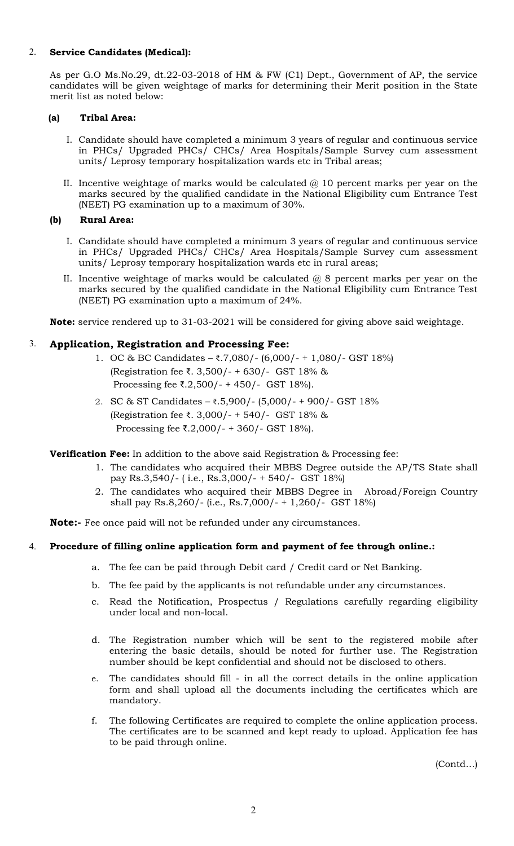## 2. Service Candidates (Medical):

As per G.O Ms.No.29, dt.22-03-2018 of HM & FW (C1) Dept., Government of AP, the service candidates will be given weightage of marks for determining their Merit position in the State merit list as noted below:

## (a) Tribal Area:

- I. Candidate should have completed a minimum 3 years of regular and continuous service in PHCs/ Upgraded PHCs/ CHCs/ Area Hospitals/Sample Survey cum assessment units/ Leprosy temporary hospitalization wards etc in Tribal areas;
- II. Incentive weightage of marks would be calculated  $@$  10 percent marks per year on the marks secured by the qualified candidate in the National Eligibility cum Entrance Test (NEET) PG examination up to a maximum of 30%.

### (b) Rural Area:

- I. Candidate should have completed a minimum 3 years of regular and continuous service in PHCs/ Upgraded PHCs/ CHCs/ Area Hospitals/Sample Survey cum assessment units/ Leprosy temporary hospitalization wards etc in rural areas;
- II. Incentive weightage of marks would be calculated  $(a)$  8 percent marks per year on the marks secured by the qualified candidate in the National Eligibility cum Entrance Test (NEET) PG examination upto a maximum of 24%.

**Note:** service rendered up to 31-03-2021 will be considered for giving above said weightage.

## 3. Application, Registration and Processing Fee:

- 1. OC & BC Candidates ₹.7,080/- (6,000/- + 1,080/- GST 18%) (Registration fee ₹. 3,500/- + 630/- GST 18% & Processing fee ₹.2,500/- + 450/- GST 18%).
- 2. SC & ST Candidates ₹.5,900/- (5,000/- + 900/- GST 18% (Registration fee ₹. 3,000/- + 540/- GST 18% & Processing fee ₹.2,000/- + 360/- GST 18%).

**Verification Fee:** In addition to the above said Registration & Processing fee:

- 1. The candidates who acquired their MBBS Degree outside the AP/TS State shall pay Rs.3,540/- ( i.e., Rs.3,000/- + 540/- GST 18%)
- 2. The candidates who acquired their MBBS Degree in Abroad/Foreign Country shall pay Rs.8,260/- (i.e., Rs.7,000/- + 1,260/- GST 18%)

**Note:-** Fee once paid will not be refunded under any circumstances.

## 4. Procedure of filling online application form and payment of fee through online.:

- a. The fee can be paid through Debit card / Credit card or Net Banking.
- b. The fee paid by the applicants is not refundable under any circumstances.
- c. Read the Notification, Prospectus / Regulations carefully regarding eligibility under local and non-local.
- d. The Registration number which will be sent to the registered mobile after entering the basic details, should be noted for further use. The Registration number should be kept confidential and should not be disclosed to others.
- e. The candidates should fill in all the correct details in the online application form and shall upload all the documents including the certificates which are mandatory.
- f. The following Certificates are required to complete the online application process. The certificates are to be scanned and kept ready to upload. Application fee has to be paid through online.

(Contd…)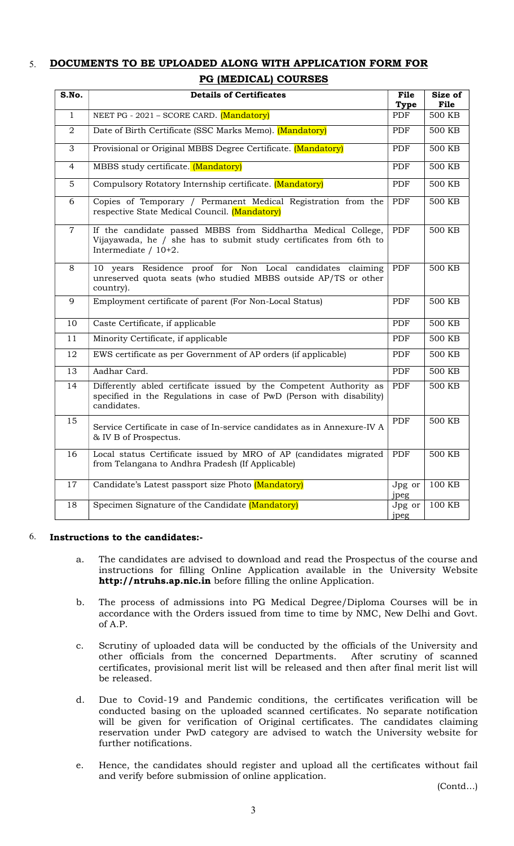# 5. DOCUMENTS TO BE UPLOADED ALONG WITH APPLICATION FORM FOR PG (MEDICAL) COURSES

| S.No.          | <b>Details of Certificates</b>                                                                                                                                |                | Size of       |
|----------------|---------------------------------------------------------------------------------------------------------------------------------------------------------------|----------------|---------------|
|                |                                                                                                                                                               | <b>Type</b>    | File          |
| 1              | NEET PG - 2021 - SCORE CARD. (Mandatory)                                                                                                                      | <b>PDF</b>     | 500 KB        |
| 2              | Date of Birth Certificate (SSC Marks Memo). (Mandatory)                                                                                                       | PDF            | 500 KB        |
| 3              | Provisional or Original MBBS Degree Certificate. (Mandatory)                                                                                                  | PDF            | 500 KB        |
| $\overline{4}$ | MBBS study certificate. (Mandatory)                                                                                                                           | PDF            | 500 KB        |
| 5              | Compulsory Rotatory Internship certificate. (Mandatory)                                                                                                       | PDF            | 500 KB        |
| 6              | Copies of Temporary / Permanent Medical Registration from the<br>respective State Medical Council. (Mandatory)                                                |                | 500 KB        |
| $\overline{7}$ | If the candidate passed MBBS from Siddhartha Medical College,<br>Vijayawada, he / she has to submit study certificates from 6th to<br>Intermediate $/ 10+2$ . |                | 500 KB        |
| 8              | 10 years Residence proof for Non Local candidates claiming<br>unreserved quota seats (who studied MBBS outside AP/TS or other<br>country).                    |                | 500 KB        |
| 9              | Employment certificate of parent (For Non-Local Status)                                                                                                       | PDF            | 500 KB        |
| 10             | Caste Certificate, if applicable                                                                                                                              | <b>PDF</b>     | 500 KB        |
| 11             | Minority Certificate, if applicable                                                                                                                           | PDF            | <b>500 KB</b> |
| 12             | EWS certificate as per Government of AP orders (if applicable)                                                                                                | PDF            | <b>500 KB</b> |
| 13             | Aadhar Card.                                                                                                                                                  | PDF            | 500 KB        |
| 14             | Differently abled certificate issued by the Competent Authority as<br>specified in the Regulations in case of PwD (Person with disability)<br>candidates.     |                | <b>500 KB</b> |
| 15             | Service Certificate in case of In-service candidates as in Annexure-IV A<br>& IV B of Prospectus.                                                             |                | <b>500 KB</b> |
| 16             | Local status Certificate issued by MRO of AP (candidates migrated<br>PDF<br>from Telangana to Andhra Pradesh (If Applicable)                                  |                | 500 KB        |
| 17             | Candidate's Latest passport size Photo (Mandatory)                                                                                                            | Jpg or<br>jpeg | 100 KB        |
| 18             | Specimen Signature of the Candidate (Mandatory)                                                                                                               | Jpg or<br>jpeg | 100 KB        |

## 6. Instructions to the candidates:-

- a. The candidates are advised to download and read the Prospectus of the course and instructions for filling Online Application available in the University Website http://ntruhs.ap.nic.in before filling the online Application.
- b. The process of admissions into PG Medical Degree/Diploma Courses will be in accordance with the Orders issued from time to time by NMC, New Delhi and Govt. of A.P.
- c. Scrutiny of uploaded data will be conducted by the officials of the University and other officials from the concerned Departments. After scrutiny of scanned certificates, provisional merit list will be released and then after final merit list will be released.
- d. Due to Covid-19 and Pandemic conditions, the certificates verification will be conducted basing on the uploaded scanned certificates. No separate notification will be given for verification of Original certificates. The candidates claiming reservation under PwD category are advised to watch the University website for further notifications.
- e. Hence, the candidates should register and upload all the certificates without fail and verify before submission of online application.

(Contd…)